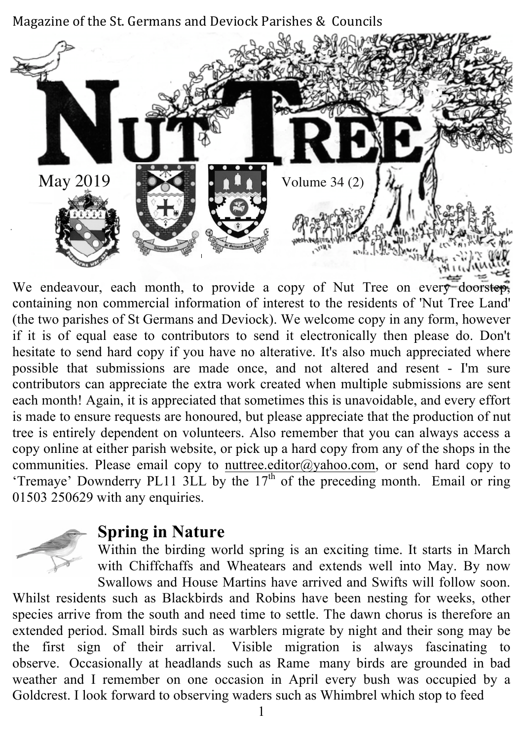Magazine of the St. Germans and Deviock Parishes & Councils



We endeavour, each month, to provide a copy of Nut Tree on every doorstep, containing non commercial information of interest to the residents of 'Nut Tree Land' (the two parishes of St Germans and Deviock). We welcome copy in any form, however if it is of equal ease to contributors to send it electronically then please do. Don't hesitate to send hard copy if you have no alterative. It's also much appreciated where possible that submissions are made once, and not altered and resent - I'm sure contributors can appreciate the extra work created when multiple submissions are sent each month! Again, it is appreciated that sometimes this is unavoidable, and every effort is made to ensure requests are honoured, but please appreciate that the production of nut tree is entirely dependent on volunteers. Also remember that you can always access a copy online at either parish website, or pick up a hard copy from any of the shops in the communities. Please email copy to nuttree.editor@yahoo.com, or send hard copy to 'Tremaye' Downderry PL11 3LL by the  $17<sup>th</sup>$  of the preceding month. Email or ring 01503 250629 with any enquiries.



#### **Spring in Nature**

Within the birding world spring is an exciting time. It starts in March with Chiffchaffs and Wheatears and extends well into May. By now Swallows and House Martins have arrived and Swifts will follow soon.

Whilst residents such as Blackbirds and Robins have been nesting for weeks, other species arrive from the south and need time to settle. The dawn chorus is therefore an extended period. Small birds such as warblers migrate by night and their song may be the first sign of their arrival. Visible migration is always fascinating to observe. Occasionally at headlands such as Rame many birds are grounded in bad weather and I remember on one occasion in April every bush was occupied by a Goldcrest. I look forward to observing waders such as Whimbrel which stop to feed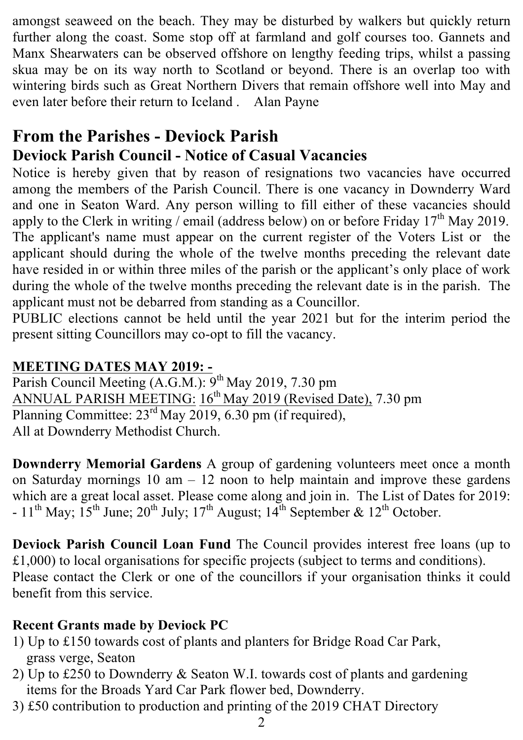amongst seaweed on the beach. They may be disturbed by walkers but quickly return further along the coast. Some stop off at farmland and golf courses too. Gannets and Manx Shearwaters can be observed offshore on lengthy feeding trips, whilst a passing skua may be on its way north to Scotland or beyond. There is an overlap too with wintering birds such as Great Northern Divers that remain offshore well into May and even later before their return to Iceland . Alan Payne

#### **From the Parishes - Deviock Parish Deviock Parish Council - Notice of Casual Vacancies**

Notice is hereby given that by reason of resignations two vacancies have occurred among the members of the Parish Council. There is one vacancy in Downderry Ward and one in Seaton Ward. Any person willing to fill either of these vacancies should apply to the Clerk in writing / email (address below) on or before Friday  $17<sup>th</sup>$  May 2019. The applicant's name must appear on the current register of the Voters List or the applicant should during the whole of the twelve months preceding the relevant date have resided in or within three miles of the parish or the applicant's only place of work during the whole of the twelve months preceding the relevant date is in the parish. The applicant must not be debarred from standing as a Councillor.

PUBLIC elections cannot be held until the year 2021 but for the interim period the present sitting Councillors may co-opt to fill the vacancy.

#### **MEETING DATES MAY 2019: -**

Parish Council Meeting  $(A.G.M.)$ : 9<sup>th</sup> May 2019, 7.30 pm ANNUAL PARISH MEETING: 16<sup>th</sup> May 2019 (Revised Date), 7.30 pm Planning Committee:  $23<sup>rd</sup>$  May 2019, 6.30 pm (if required), All at Downderry Methodist Church.

**Downderry Memorial Gardens** A group of gardening volunteers meet once a month on Saturday mornings  $10 \text{ am} - 12 \text{ noon}$  to help maintain and improve these gardens which are a great local asset. Please come along and join in. The List of Dates for 2019:  $-11$ <sup>th</sup> May;  $15$ <sup>th</sup> June;  $20$ <sup>th</sup> July;  $17$ <sup>th</sup> August;  $14$ <sup>th</sup> September &  $12$ <sup>th</sup> October.

**Deviock Parish Council Loan Fund** The Council provides interest free loans (up to £1,000) to local organisations for specific projects (subject to terms and conditions). Please contact the Clerk or one of the councillors if your organisation thinks it could benefit from this service.

#### **Recent Grants made by Deviock PC**

- 1) Up to £150 towards cost of plants and planters for Bridge Road Car Park, grass verge, Seaton
- 2) Up to £250 to Downderry & Seaton W.I. towards cost of plants and gardening items for the Broads Yard Car Park flower bed, Downderry.
- 3) £50 contribution to production and printing of the 2019 CHAT Directory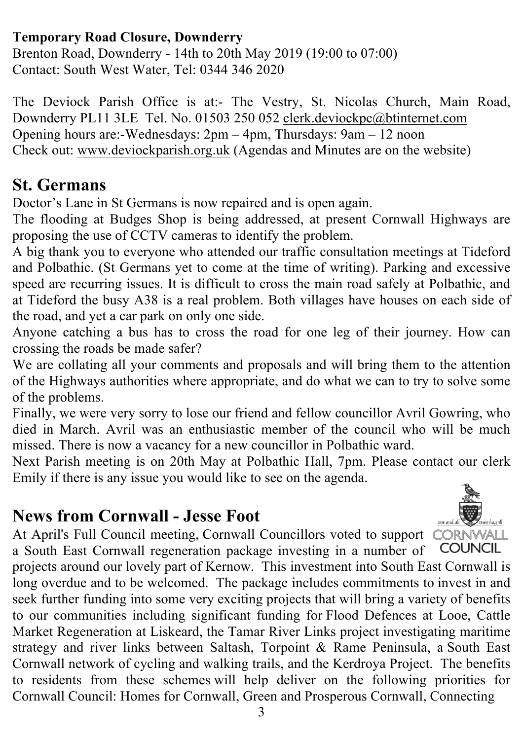#### **Temporary Road Closure, Downderry**

Brenton Road, Downderry - 14th to 20th May 2019 (19:00 to 07:00) Contact: South West Water, Tel: 0344 346 2020

The Deviock Parish Office is at:- The Vestry, St. Nicolas Church, Main Road, Downderry PL11 3LE Tel. No. 01503 250 052 clerk.deviockpc@btinternet.com Opening hours are:-Wednesdays: 2pm – 4pm, Thursdays: 9am – 12 noon Check out: www.deviockparish.org.uk (Agendas and Minutes are on the website)

#### **St. Germans**

Doctor's Lane in St Germans is now repaired and is open again.

The flooding at Budges Shop is being addressed, at present Cornwall Highways are proposing the use of CCTV cameras to identify the problem.

A big thank you to everyone who attended our traffic consultation meetings at Tideford and Polbathic. (St Germans yet to come at the time of writing). Parking and excessive speed are recurring issues. It is difficult to cross the main road safely at Polbathic, and at Tideford the busy A38 is a real problem. Both villages have houses on each side of the road, and yet a car park on only one side.

Anyone catching a bus has to cross the road for one leg of their journey. How can crossing the roads be made safer?

We are collating all your comments and proposals and will bring them to the attention of the Highways authorities where appropriate, and do what we can to try to solve some of the problems.

Finally, we were very sorry to lose our friend and fellow councillor Avril Gowring, who died in March. Avril was an enthusiastic member of the council who will be much missed. There is now a vacancy for a new councillor in Polbathic ward.

Next Parish meeting is on 20th May at Polbathic Hall, 7pm. Please contact our clerk Emily if there is any issue you would like to see on the agenda.

## **News from Cornwall - Jesse Foot**



At April's Full Council meeting, Cornwall Councillors voted to support CORNWALL a South East Cornwall regeneration package investing in a number of **COUNCIL** 

projects around our lovely part of Kernow. This investment into South East Cornwall is long overdue and to be welcomed. The package includes commitments to invest in and seek further funding into some very exciting projects that will bring a variety of benefits to our communities including significant funding for Flood Defences at Looe, Cattle Market Regeneration at Liskeard, the Tamar River Links project investigating maritime strategy and river links between Saltash, Torpoint & Rame Peninsula, a South East Cornwall network of cycling and walking trails, and the Kerdroya Project. The benefits to residents from these schemes will help deliver on the following priorities for Cornwall Council: Homes for Cornwall, Green and Prosperous Cornwall, Connecting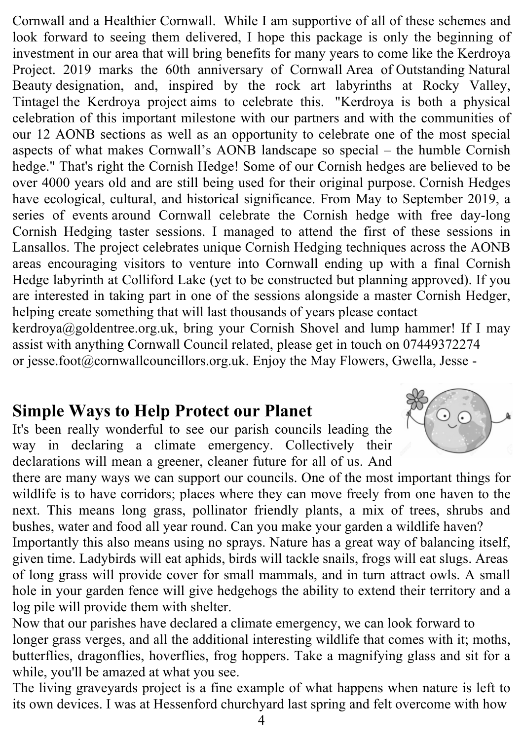Cornwall and a Healthier Cornwall. While I am supportive of all of these schemes and look forward to seeing them delivered, I hope this package is only the beginning of investment in our area that will bring benefits for many years to come like the Kerdroya Project. 2019 marks the 60th anniversary of Cornwall Area of Outstanding Natural Beauty designation, and, inspired by the rock art labyrinths at Rocky Valley, Tintagel the Kerdroya project aims to celebrate this. "Kerdroya is both a physical celebration of this important milestone with our partners and with the communities of our 12 AONB sections as well as an opportunity to celebrate one of the most special aspects of what makes Cornwall's AONB landscape so special – the humble Cornish hedge." That's right the Cornish Hedge! Some of our Cornish hedges are believed to be over 4000 years old and are still being used for their original purpose. Cornish Hedges have ecological, cultural, and historical significance. From May to September 2019, a series of events around Cornwall celebrate the Cornish hedge with free day-long Cornish Hedging taster sessions. I managed to attend the first of these sessions in Lansallos. The project celebrates unique Cornish Hedging techniques across the AONB areas encouraging visitors to venture into Cornwall ending up with a final Cornish Hedge labyrinth at Colliford Lake (yet to be constructed but planning approved). If you are interested in taking part in one of the sessions alongside a master Cornish Hedger, helping create something that will last thousands of years please contact kerdroya@goldentree.org.uk, bring your Cornish Shovel and lump hammer! If I may assist with anything Cornwall Council related, please get in touch on 07449372274 or jesse.foot@cornwallcouncillors.org.uk. Enjoy the May Flowers, Gwella, Jesse -

#### **Simple Ways to Help Protect our Planet**

It's been really wonderful to see our parish councils leading the way in declaring a climate emergency. Collectively their declarations will mean a greener, cleaner future for all of us. And

there are many ways we can support our councils. One of the most important things for wildlife is to have corridors; places where they can move freely from one haven to the next. This means long grass, pollinator friendly plants, a mix of trees, shrubs and bushes, water and food all year round. Can you make your garden a wildlife haven?

Importantly this also means using no sprays. Nature has a great way of balancing itself, given time. Ladybirds will eat aphids, birds will tackle snails, frogs will eat slugs. Areas of long grass will provide cover for small mammals, and in turn attract owls. A small hole in your garden fence will give hedgehogs the ability to extend their territory and a log pile will provide them with shelter.

Now that our parishes have declared a climate emergency, we can look forward to longer grass verges, and all the additional interesting wildlife that comes with it; moths, butterflies, dragonflies, hoverflies, frog hoppers. Take a magnifying glass and sit for a while, you'll be amazed at what you see.

The living graveyards project is a fine example of what happens when nature is left to its own devices. I was at Hessenford churchyard last spring and felt overcome with how

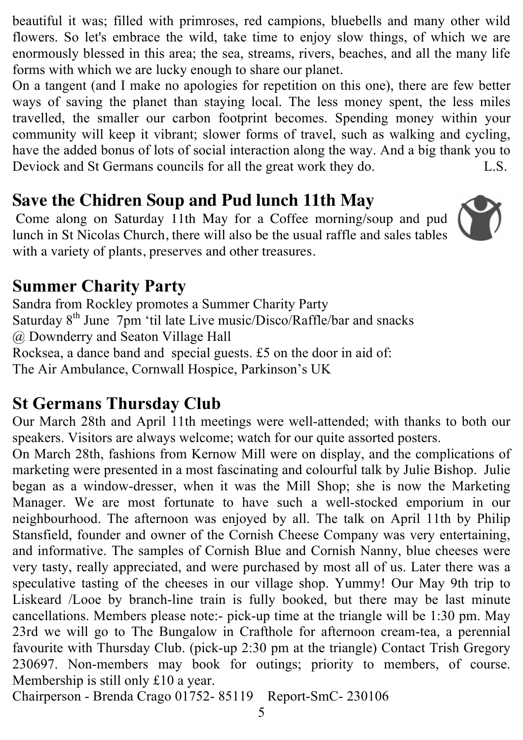beautiful it was; filled with primroses, red campions, bluebells and many other wild flowers. So let's embrace the wild, take time to enjoy slow things, of which we are enormously blessed in this area; the sea, streams, rivers, beaches, and all the many life forms with which we are lucky enough to share our planet.

On a tangent (and I make no apologies for repetition on this one), there are few better ways of saving the planet than staying local. The less money spent, the less miles travelled, the smaller our carbon footprint becomes. Spending money within your community will keep it vibrant; slower forms of travel, such as walking and cycling, have the added bonus of lots of social interaction along the way. And a big thank you to Deviock and St Germans councils for all the great work they do. L.S.

## **Save the Chidren Soup and Pud lunch 11th May**

Come along on Saturday 11th May for a Coffee morning/soup and pud lunch in St Nicolas Church, there will also be the usual raffle and sales tables with a variety of plants, preserves and other treasures.



# **Summer Charity Party**

Sandra from Rockley promotes a Summer Charity Party Saturday  $8<sup>th</sup>$  June 7pm 'til late Live music/Disco/Raffle/bar and snacks @ Downderry and Seaton Village Hall Rocksea, a dance band and special guests. £5 on the door in aid of: The Air Ambulance, Cornwall Hospice, Parkinson's UK

# **St Germans Thursday Club**

Our March 28th and April 11th meetings were well-attended; with thanks to both our speakers. Visitors are always welcome; watch for our quite assorted posters.

On March 28th, fashions from Kernow Mill were on display, and the complications of marketing were presented in a most fascinating and colourful talk by Julie Bishop. Julie began as a window-dresser, when it was the Mill Shop; she is now the Marketing Manager. We are most fortunate to have such a well-stocked emporium in our neighbourhood. The afternoon was enjoyed by all. The talk on April 11th by Philip Stansfield, founder and owner of the Cornish Cheese Company was very entertaining, and informative. The samples of Cornish Blue and Cornish Nanny, blue cheeses were very tasty, really appreciated, and were purchased by most all of us. Later there was a speculative tasting of the cheeses in our village shop. Yummy! Our May 9th trip to Liskeard /Looe by branch-line train is fully booked, but there may be last minute cancellations. Members please note:- pick-up time at the triangle will be 1:30 pm. May 23rd we will go to The Bungalow in Crafthole for afternoon cream-tea, a perennial favourite with Thursday Club. (pick-up 2:30 pm at the triangle) Contact Trish Gregory 230697. Non-members may book for outings; priority to members, of course. Membership is still only £10 a year.

Chairperson - Brenda Crago 01752- 85119 Report-SmC- 230106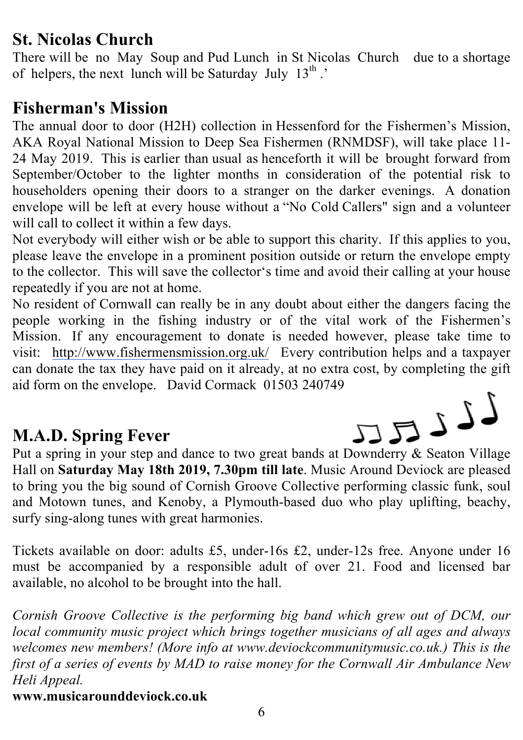## **St. Nicolas Church**

There will be no May Soup and Pud Lunch in St Nicolas Church due to a shortage of helpers, the next lunch will be Saturday July  $13^{th}$ .

#### **Fisherman's Mission**

The annual door to door (H2H) collection in Hessenford for the Fishermen's Mission, AKA Royal National Mission to Deep Sea Fishermen (RNMDSF), will take place 11- 24 May 2019. This is earlier than usual as henceforth it will be brought forward from September/October to the lighter months in consideration of the potential risk to householders opening their doors to a stranger on the darker evenings. A donation envelope will be left at every house without a "No Cold Callers" sign and a volunteer will call to collect it within a few days.

Not everybody will either wish or be able to support this charity. If this applies to you, please leave the envelope in a prominent position outside or return the envelope empty to the collector. This will save the collector's time and avoid their calling at your house repeatedly if you are not at home.

No resident of Cornwall can really be in any doubt about either the dangers facing the people working in the fishing industry or of the vital work of the Fishermen's Mission. If any encouragement to donate is needed however, please take time to visit: http://www.fishermensmission.org.uk/ Every contribution helps and a taxpayer can donate the tax they have paid on it already, at no extra cost, by completing the gift aid form on the envelope. David Cormack 01503 240749

# **M.A.D. Spring Fever**



Hall on **Saturday May 18th 2019, 7.30pm till late**. Music Around Deviock are pleased to bring you the big sound of Cornish Groove Collective performing classic funk, soul and Motown tunes, and Kenoby, a Plymouth-based duo who play uplifting, beachy, surfy sing-along tunes with great harmonies.

Tickets available on door: adults £5, under-16s £2, under-12s free. Anyone under 16 must be accompanied by a responsible adult of over 21. Food and licensed bar available, no alcohol to be brought into the hall.

*Cornish Groove Collective is the performing big band which grew out of DCM, our local community music project which brings together musicians of all ages and always welcomes new members! (More info at www.deviockcommunitymusic.co.uk.) This is the first of a series of events by MAD to raise money for the Cornwall Air Ambulance New Heli Appeal.*

**www.musicarounddeviock.co.uk**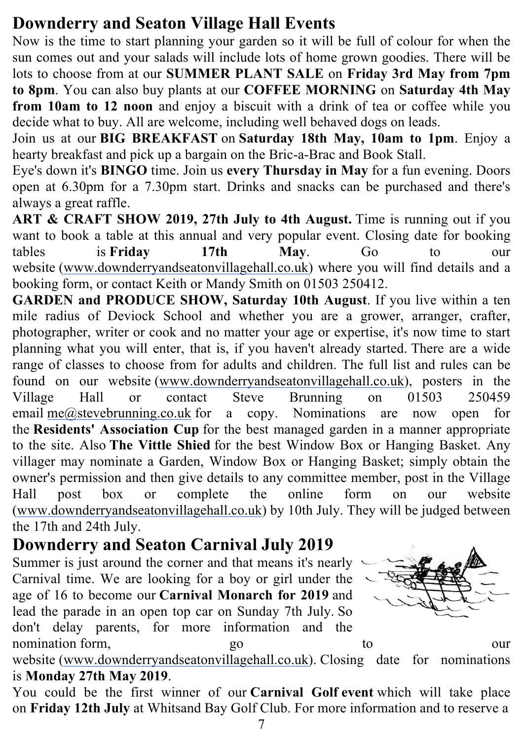# **Downderry and Seaton Village Hall Events**

Now is the time to start planning your garden so it will be full of colour for when the sun comes out and your salads will include lots of home grown goodies. There will be lots to choose from at our **SUMMER PLANT SALE** on **Friday 3rd May from 7pm to 8pm**. You can also buy plants at our **COFFEE MORNING** on **Saturday 4th May from 10am to 12 noon** and enjoy a biscuit with a drink of tea or coffee while you decide what to buy. All are welcome, including well behaved dogs on leads.

Join us at our **BIG BREAKFAST** on **Saturday 18th May, 10am to 1pm**. Enjoy a hearty breakfast and pick up a bargain on the Bric-a-Brac and Book Stall.

Eye's down it's **BINGO** time. Join us **every Thursday in May** for a fun evening. Doors open at 6.30pm for a 7.30pm start. Drinks and snacks can be purchased and there's always a great raffle.

**ART & CRAFT SHOW 2019, 27th July to 4th August.** Time is running out if you want to book a table at this annual and very popular event. Closing date for booking tables is **Friday** 17th May. Go to our website (www.downderryandseatonvillagehall.co.uk) where you will find details and a booking form, or contact Keith or Mandy Smith on 01503 250412.

**GARDEN and PRODUCE SHOW, Saturday 10th August**. If you live within a ten mile radius of Deviock School and whether you are a grower, arranger, crafter, photographer, writer or cook and no matter your age or expertise, it's now time to start planning what you will enter, that is, if you haven't already started. There are a wide range of classes to choose from for adults and children. The full list and rules can be found on our website (www.downderryandseatonvillagehall.co.uk), posters in the Village Hall or contact Steve Brunning on 01503 250459 email me@stevebrunning.co.uk for a copy. Nominations are now open for the **Residents' Association Cup** for the best managed garden in a manner appropriate to the site. Also **The Vittle Shied** for the best Window Box or Hanging Basket. Any villager may nominate a Garden, Window Box or Hanging Basket; simply obtain the owner's permission and then give details to any committee member, post in the Village Hall post box or complete the online form on our website (www.downderryandseatonvillagehall.co.uk) by 10th July. They will be judged between the 17th and 24th July.

## **Downderry and Seaton Carnival July 2019**

Summer is just around the corner and that means it's nearly Carnival time. We are looking for a boy or girl under the age of 16 to become our **Carnival Monarch for 2019** and lead the parade in an open top car on Sunday 7th July. So don't delay parents, for more information and the nomination form, go to to our



website (www.downderryandseatonvillagehall.co.uk). Closing date for nominations is **Monday 27th May 2019**.

You could be the first winner of our **Carnival Golf event** which will take place on **Friday 12th July** at Whitsand Bay Golf Club. For more information and to reserve a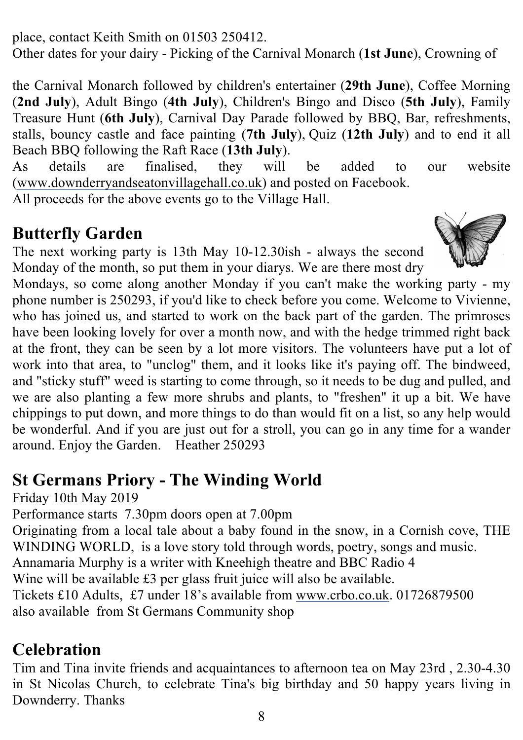place, contact Keith Smith on 01503 250412.

Other dates for your dairy - Picking of the Carnival Monarch (**1st June**), Crowning of

the Carnival Monarch followed by children's entertainer (**29th June**), Coffee Morning (**2nd July**), Adult Bingo (**4th July**), Children's Bingo and Disco (**5th July**), Family Treasure Hunt (**6th July**), Carnival Day Parade followed by BBQ, Bar, refreshments, stalls, bouncy castle and face painting (**7th July**), Quiz (**12th July**) and to end it all Beach BBQ following the Raft Race (**13th July**).

As details are finalised, they will be added to our website (www.downderryandseatonvillagehall.co.uk) and posted on Facebook.

All proceeds for the above events go to the Village Hall.

## **Butterfly Garden**

The next working party is 13th May 10-12.30ish - always the second Monday of the month, so put them in your diarys. We are there most dry



Mondays, so come along another Monday if you can't make the working party - my phone number is 250293, if you'd like to check before you come. Welcome to Vivienne, who has joined us, and started to work on the back part of the garden. The primroses have been looking lovely for over a month now, and with the hedge trimmed right back at the front, they can be seen by a lot more visitors. The volunteers have put a lot of work into that area, to "unclog" them, and it looks like it's paying off. The bindweed, and "sticky stuff" weed is starting to come through, so it needs to be dug and pulled, and we are also planting a few more shrubs and plants, to "freshen" it up a bit. We have chippings to put down, and more things to do than would fit on a list, so any help would be wonderful. And if you are just out for a stroll, you can go in any time for a wander around. Enjoy the Garden. Heather 250293

# **St Germans Priory - The Winding World**

Friday 10th May 2019

Performance starts 7.30pm doors open at 7.00pm

Originating from a local tale about a baby found in the snow, in a Cornish cove, THE WINDING WORLD, is a love story told through words, poetry, songs and music.

Annamaria Murphy is a writer with Kneehigh theatre and BBC Radio 4

Wine will be available £3 per glass fruit juice will also be available.

Tickets £10 Adults, £7 under 18's available from www.crbo.co.uk. 01726879500

also available from St Germans Community shop

# **Celebration**

Tim and Tina invite friends and acquaintances to afternoon tea on May 23rd , 2.30-4.30 in St Nicolas Church, to celebrate Tina's big birthday and 50 happy years living in Downderry. Thanks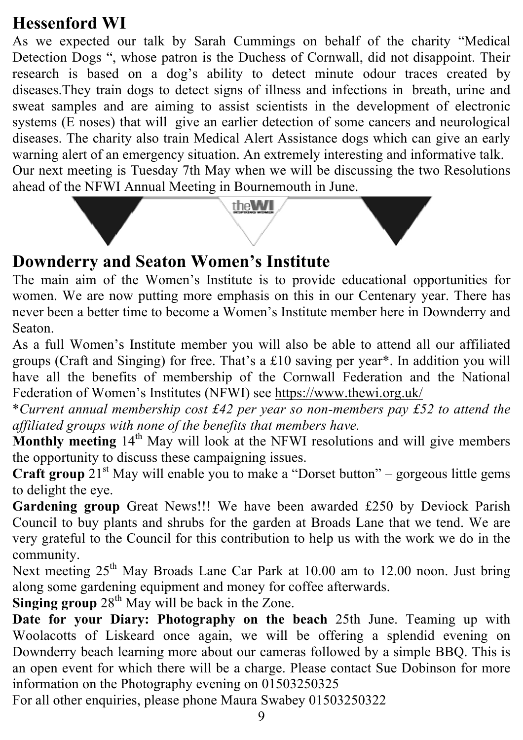# **Hessenford WI**

As we expected our talk by Sarah Cummings on behalf of the charity "Medical Detection Dogs ", whose patron is the Duchess of Cornwall, did not disappoint. Their research is based on a dog's ability to detect minute odour traces created by diseases.They train dogs to detect signs of illness and infections in breath, urine and sweat samples and are aiming to assist scientists in the development of electronic systems (E noses) that will give an earlier detection of some cancers and neurological diseases. The charity also train Medical Alert Assistance dogs which can give an early warning alert of an emergency situation. An extremely interesting and informative talk. Our next meeting is Tuesday 7th May when we will be discussing the two Resolutions ahead of the NFWI Annual Meeting in Bournemouth in June.



## **Downderry and Seaton Women's Institute**

The main aim of the Women's Institute is to provide educational opportunities for women. We are now putting more emphasis on this in our Centenary year. There has never been a better time to become a Women's Institute member here in Downderry and Seaton.

As a full Women's Institute member you will also be able to attend all our affiliated groups (Craft and Singing) for free. That's a £10 saving per year\*. In addition you will have all the benefits of membership of the Cornwall Federation and the National Federation of Women's Institutes (NFWI) see https://www.thewi.org.uk/

\**Current annual membership cost £42 per year so non-members pay £52 to attend the affiliated groups with none of the benefits that members have.*

**Monthly meeting** 14<sup>th</sup> May will look at the NFWI resolutions and will give members the opportunity to discuss these campaigning issues.

**Craft group** 21<sup>st</sup> May will enable you to make a "Dorset button" – gorgeous little gems to delight the eye.

**Gardening group** Great News!!! We have been awarded £250 by Deviock Parish Council to buy plants and shrubs for the garden at Broads Lane that we tend. We are very grateful to the Council for this contribution to help us with the work we do in the community.

Next meeting 25<sup>th</sup> May Broads Lane Car Park at 10.00 am to 12.00 noon. Just bring along some gardening equipment and money for coffee afterwards.

Singing group 28<sup>th</sup> May will be back in the Zone.

**Date for your Diary: Photography on the beach** 25th June. Teaming up with Woolacotts of Liskeard once again, we will be offering a splendid evening on Downderry beach learning more about our cameras followed by a simple BBQ. This is an open event for which there will be a charge. Please contact Sue Dobinson for more information on the Photography evening on 01503250325

For all other enquiries, please phone Maura Swabey 01503250322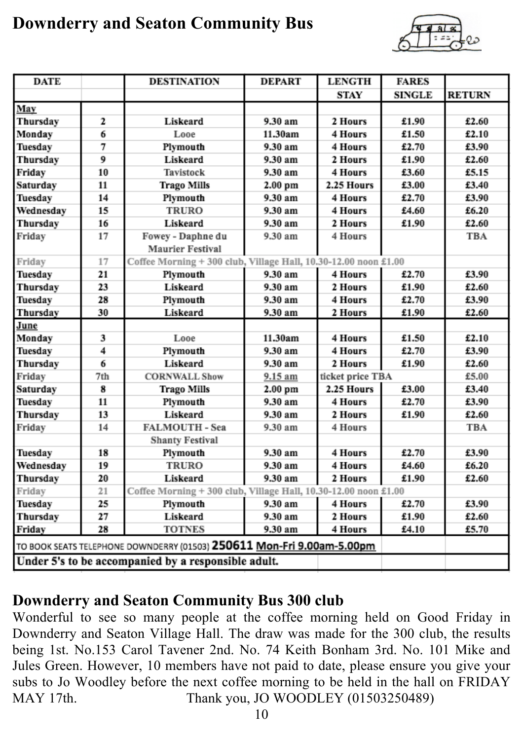## **Downderry and Seaton Community Bus**



| <b>DATE</b>                                                            |     | <b>DESTINATION</b>                                              | <b>DEPART</b> | <b>LENGTH</b>    | <b>FARES</b>  |               |  |
|------------------------------------------------------------------------|-----|-----------------------------------------------------------------|---------------|------------------|---------------|---------------|--|
|                                                                        |     |                                                                 |               | STAY             | <b>SINGLE</b> | <b>RETURN</b> |  |
| May                                                                    |     |                                                                 |               |                  |               |               |  |
| Thursday                                                               | 2   | Liskeard                                                        | 9.30 am       | 2 Hours          | £1.90         | £2.60         |  |
| Monday                                                                 | 6   | Looe                                                            | 11.30am       | 4 Hours          | £1.50         | £2.10         |  |
| Tuesday                                                                | 7   | Plymouth                                                        | 9.30 am       | 4 Hours          | £2.70         | £3.90         |  |
| Thursday                                                               | 9   | Liskeard                                                        | 9.30 am       | 2 Hours          | £1.90         | £2.60         |  |
| Friday                                                                 | 10  | Tavistock                                                       | 9.30 am       | 4 Hours          | £3.60         | £5.15         |  |
| Saturday                                                               | 11  | <b>Trago Mills</b>                                              | 2.00 pm       | 2.25 Hours       | £3.00         | £3.40         |  |
| Tuesday                                                                | 14  | Plymouth                                                        | 9.30 am       | 4 Hours          | £2.70         | £3.90         |  |
| Wednesday                                                              | 15  | <b>TRURO</b>                                                    | 9.30 am       | 4 Hours          | £4.60         | £6.20         |  |
| Thursday                                                               | 16  | Liskeard                                                        | 9.30 am       | 2 Hours          | £1.90         | £2.60         |  |
| Friday                                                                 | 17  | Fowey - Daphne du                                               | 9.30 am       | 4 Hours          |               | TBA           |  |
|                                                                        |     | <b>Maurier Festival</b>                                         |               |                  |               |               |  |
| Friday                                                                 | 17  | Coffee Morning + 300 club, Village Hall, 10.30-12.00 noon £1.00 |               |                  |               |               |  |
| Tuesday                                                                | 21  | Plymouth                                                        | 9.30 am       | 4 Hours          | £2.70         | £3.90         |  |
| Thursday                                                               | 23  | Liskeard                                                        | 9.30 am       | 2 Hours          | £1.90         | £2.60         |  |
| Tuesday                                                                | 28  | Plymouth                                                        | 9.30 am       | 4 Hours          | £2.70         | £3.90         |  |
| Thursday                                                               | 30  | Liskeard                                                        | 9.30 am       | 2 Hours          | £1.90         | £2.60         |  |
| June                                                                   |     |                                                                 |               |                  |               |               |  |
| Monday                                                                 | 3   | Looe                                                            | 11.30am       | 4 Hours          | £1.50         | £2.10         |  |
| Tuesday                                                                | 4   | Plymouth                                                        | 9.30 am       | 4 Hours          | £2.70         | £3.90         |  |
| Thursday                                                               | 6   | Liskeard                                                        | 9.30 am       | 2 Hours          | £1.90         | £2.60         |  |
| Friday                                                                 | 7th | <b>CORNWALL Show</b>                                            | 9.15 am       | ticket price TBA |               | £5.00         |  |
| Saturday                                                               | 8   | <b>Trago Mills</b>                                              | $2.00$ pm     | 2.25 Hours       | £3.00         | £3.40         |  |
| Tuesday                                                                | 11  | Plymouth                                                        | 9.30 am       | 4 Hours          | £2.70         | £3.90         |  |
| Thursday                                                               | 13  | Liskeard                                                        | 9.30 am       | 2 Hours          | £1.90         | £2.60         |  |
| Friday                                                                 | 14  | FALMOUTH - Sea                                                  | 9.30 am       | 4 Hours          |               | TBA           |  |
|                                                                        |     | <b>Shanty Festival</b>                                          |               |                  |               |               |  |
| Tuesday                                                                | 18  | Plymouth                                                        | 9.30 am       | 4 Hours          | £2.70         | £3.90         |  |
| Wednesday                                                              | 19  | <b>TRURO</b>                                                    | 9.30 am       | 4 Hours          | £4.60         | £6.20         |  |
| Thursday                                                               | 20  | Liskeard                                                        | 9.30 am       | 2 Hours          | £1.90         | £2.60         |  |
| Friday                                                                 | 21  | Coffee Morning + 300 club, Village Hall, 10.30-12.00 noon £1.00 |               |                  |               |               |  |
| Tuesday                                                                | 25  | Plymouth                                                        | 9.30 am       | 4 Hours          | £2.70         | £3.90         |  |
| Thursday                                                               | 27  | Liskeard                                                        | 9.30 am       | 2 Hours          | £1.90         | £2.60         |  |
| Friday                                                                 | 28  | <b>TOTNES</b>                                                   | 9.30 am       | 4 Hours          | £4.10         | £5.70         |  |
| TO BOOK SEATS TELEPHONE DOWNDERRY (01503) 250611 Mon-Fri 9.00am-5.00pm |     |                                                                 |               |                  |               |               |  |
|                                                                        |     | Under 5's to be accompanied by a responsible adult.             |               |                  |               |               |  |

#### **Downderry and Seaton Community Bus 300 club**

Wonderful to see so many people at the coffee morning held on Good Friday in Downderry and Seaton Village Hall. The draw was made for the 300 club, the results being 1st. No.153 Carol Tavener 2nd. No. 74 Keith Bonham 3rd. No. 101 Mike and Jules Green. However, 10 members have not paid to date, please ensure you give your subs to Jo Woodley before the next coffee morning to be held in the hall on FRIDAY MAY 17th. Thank you, JO WOODLEY (01503250489)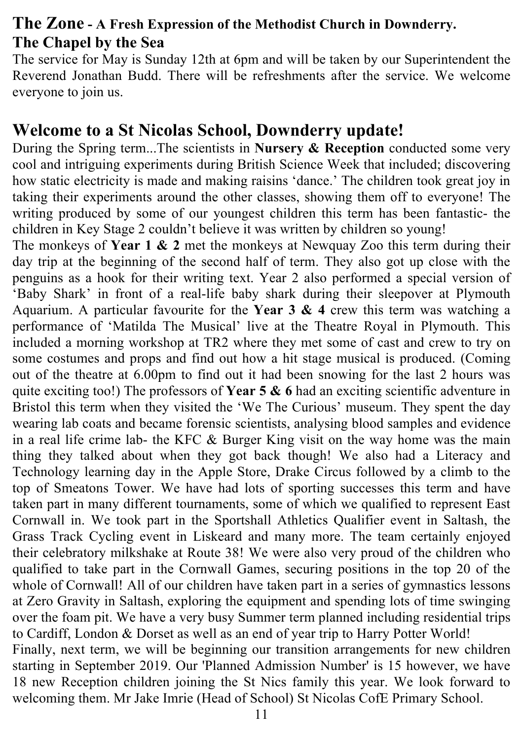#### **The Zone - A Fresh Expression of the Methodist Church in Downderry. The Chapel by the Sea**

The service for May is Sunday 12th at 6pm and will be taken by our Superintendent the Reverend Jonathan Budd. There will be refreshments after the service. We welcome everyone to join us.

#### **Welcome to a St Nicolas School, Downderry update!**

During the Spring term...The scientists in **Nursery & Reception** conducted some very cool and intriguing experiments during British Science Week that included; discovering how static electricity is made and making raisins 'dance.' The children took great joy in taking their experiments around the other classes, showing them off to everyone! The writing produced by some of our youngest children this term has been fantastic- the children in Key Stage 2 couldn't believe it was written by children so young!

The monkeys of **Year 1 & 2** met the monkeys at Newquay Zoo this term during their day trip at the beginning of the second half of term. They also got up close with the penguins as a hook for their writing text. Year 2 also performed a special version of 'Baby Shark' in front of a real-life baby shark during their sleepover at Plymouth Aquarium. A particular favourite for the **Year 3 & 4** crew this term was watching a performance of 'Matilda The Musical' live at the Theatre Royal in Plymouth. This included a morning workshop at TR2 where they met some of cast and crew to try on some costumes and props and find out how a hit stage musical is produced. (Coming out of the theatre at 6.00pm to find out it had been snowing for the last 2 hours was quite exciting too!) The professors of **Year 5 & 6** had an exciting scientific adventure in Bristol this term when they visited the 'We The Curious' museum. They spent the day wearing lab coats and became forensic scientists, analysing blood samples and evidence in a real life crime lab- the KFC & Burger King visit on the way home was the main thing they talked about when they got back though! We also had a Literacy and Technology learning day in the Apple Store, Drake Circus followed by a climb to the top of Smeatons Tower. We have had lots of sporting successes this term and have taken part in many different tournaments, some of which we qualified to represent East Cornwall in. We took part in the Sportshall Athletics Qualifier event in Saltash, the Grass Track Cycling event in Liskeard and many more. The team certainly enjoyed their celebratory milkshake at Route 38! We were also very proud of the children who qualified to take part in the Cornwall Games, securing positions in the top 20 of the whole of Cornwall! All of our children have taken part in a series of gymnastics lessons at Zero Gravity in Saltash, exploring the equipment and spending lots of time swinging over the foam pit. We have a very busy Summer term planned including residential trips to Cardiff, London & Dorset as well as an end of year trip to Harry Potter World! Finally, next term, we will be beginning our transition arrangements for new children starting in September 2019. Our 'Planned Admission Number' is 15 however, we have 18 new Reception children joining the St Nics family this year. We look forward to welcoming them. Mr Jake Imrie (Head of School) St Nicolas CofE Primary School.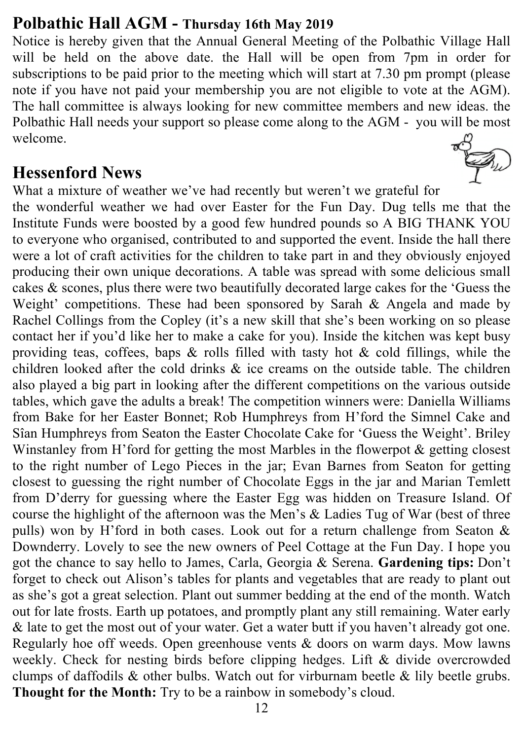#### **Polbathic Hall AGM - Thursday 16th May 2019**

Notice is hereby given that the Annual General Meeting of the Polbathic Village Hall will be held on the above date. the Hall will be open from 7pm in order for subscriptions to be paid prior to the meeting which will start at 7.30 pm prompt (please note if you have not paid your membership you are not eligible to vote at the AGM). The hall committee is always looking for new committee members and new ideas. the Polbathic Hall needs your support so please come along to the AGM - you will be most welcome.  $\mathbb{Z}_{n}$ 

#### **Hessenford News**

What a mixture of weather we've had recently but weren't we grateful for the wonderful weather we had over Easter for the Fun Day. Dug tells me that the Institute Funds were boosted by a good few hundred pounds so A BIG THANK YOU to everyone who organised, contributed to and supported the event. Inside the hall there were a lot of craft activities for the children to take part in and they obviously enjoyed producing their own unique decorations. A table was spread with some delicious small cakes & scones, plus there were two beautifully decorated large cakes for the 'Guess the Weight' competitions. These had been sponsored by Sarah & Angela and made by Rachel Collings from the Copley (it's a new skill that she's been working on so please contact her if you'd like her to make a cake for you). Inside the kitchen was kept busy providing teas, coffees, baps  $\&$  rolls filled with tasty hot  $\&$  cold fillings, while the children looked after the cold drinks & ice creams on the outside table. The children also played a big part in looking after the different competitions on the various outside tables, which gave the adults a break! The competition winners were: Daniella Williams from Bake for her Easter Bonnet; Rob Humphreys from H'ford the Simnel Cake and Sîan Humphreys from Seaton the Easter Chocolate Cake for 'Guess the Weight'. Briley Winstanley from H'ford for getting the most Marbles in the flowerpot & getting closest to the right number of Lego Pieces in the jar; Evan Barnes from Seaton for getting closest to guessing the right number of Chocolate Eggs in the jar and Marian Temlett from D'derry for guessing where the Easter Egg was hidden on Treasure Island. Of course the highlight of the afternoon was the Men's & Ladies Tug of War (best of three pulls) won by H'ford in both cases. Look out for a return challenge from Seaton & Downderry. Lovely to see the new owners of Peel Cottage at the Fun Day. I hope you got the chance to say hello to James, Carla, Georgia & Serena. **Gardening tips:** Don't forget to check out Alison's tables for plants and vegetables that are ready to plant out as she's got a great selection. Plant out summer bedding at the end of the month. Watch out for late frosts. Earth up potatoes, and promptly plant any still remaining. Water early & late to get the most out of your water. Get a water butt if you haven't already got one. Regularly hoe off weeds. Open greenhouse vents & doors on warm days. Mow lawns weekly. Check for nesting birds before clipping hedges. Lift & divide overcrowded clumps of daffodils  $\&$  other bulbs. Watch out for virburnam beetle  $\&$  lily beetle grubs. **Thought for the Month:** Try to be a rainbow in somebody's cloud.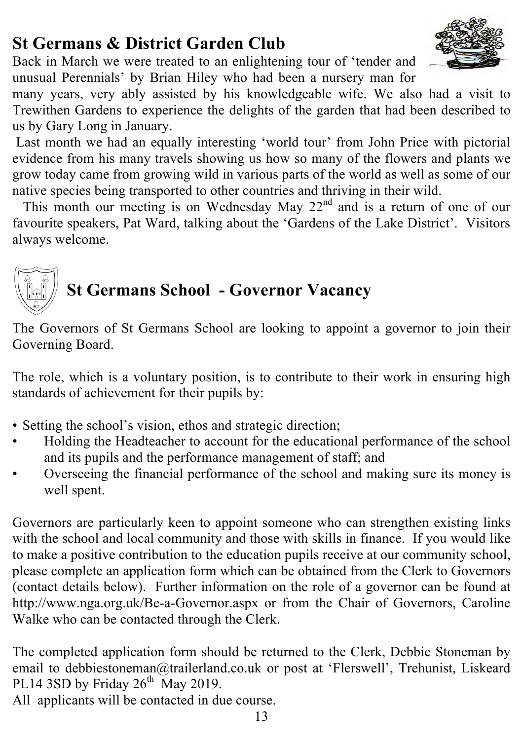#### 13

# **St Germans & District Garden Club**

Back in March we were treated to an enlightening tour of 'tender and unusual Perennials' by Brian Hiley who had been a nursery man for

many years, very ably assisted by his knowledgeable wife. We also had a visit to Trewithen Gardens to experience the delights of the garden that had been described to us by Gary Long in January.

Last month we had an equally interesting 'world tour' from John Price with pictorial evidence from his many travels showing us how so many of the flowers and plants we grow today came from growing wild in various parts of the world as well as some of our native species being transported to other countries and thriving in their wild.

This month our meeting is on Wednesday May  $22<sup>nd</sup>$  and is a return of one of our favourite speakers, Pat Ward, talking about the 'Gardens of the Lake District'. Visitors always welcome.

# **St Germans School - Governor Vacancy**

The Governors of St Germans School are looking to appoint a governor to join their Governing Board.

The role, which is a voluntary position, is to contribute to their work in ensuring high standards of achievement for their pupils by:

- Setting the school's vision, ethos and strategic direction;
- Holding the Headteacher to account for the educational performance of the school and its pupils and the performance management of staff; and
- Overseeing the financial performance of the school and making sure its money is well spent.

Governors are particularly keen to appoint someone who can strengthen existing links with the school and local community and those with skills in finance. If you would like to make a positive contribution to the education pupils receive at our community school, please complete an application form which can be obtained from the Clerk to Governors (contact details below). Further information on the role of a governor can be found at http://www.nga.org.uk/Be-a-Governor.aspx or from the Chair of Governors, Caroline Walke who can be contacted through the Clerk.

The completed application form should be returned to the Clerk, Debbie Stoneman by email to debbiestoneman@trailerland.co.uk or post at 'Flerswell', Trehunist, Liskeard PL14 3SD by Friday  $26^{th}$  May 2019.

All applicants will be contacted in due course.

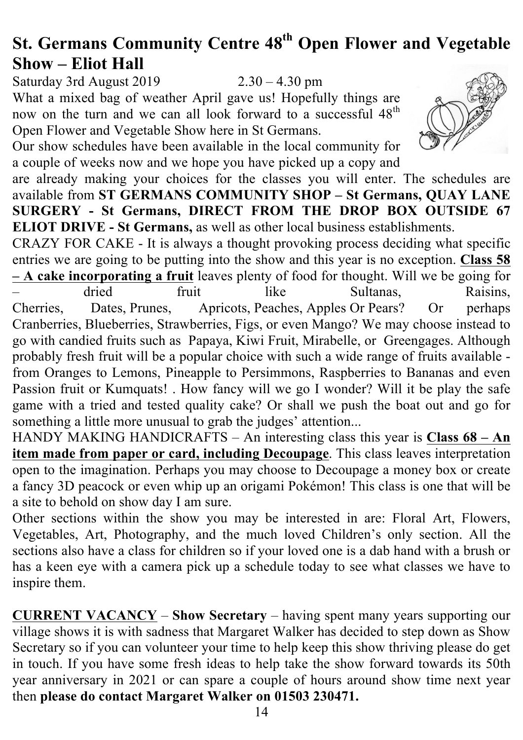# **St. Germans Community Centre 48th Open Flower and Vegetable Show – Eliot Hall**

Saturday 3rd August 2019 2.30 – 4.30 pm What a mixed bag of weather April gave us! Hopefully things are now on the turn and we can all look forward to a successful 48<sup>th</sup> Open Flower and Vegetable Show here in St Germans.

Our show schedules have been available in the local community for a couple of weeks now and we hope you have picked up a copy and

are already making your choices for the classes you will enter. The schedules are available from **ST GERMANS COMMUNITY SHOP – St Germans, QUAY LANE SURGERY - St Germans, DIRECT FROM THE DROP BOX OUTSIDE 67 ELIOT DRIVE - St Germans,** as well as other local business establishments.

CRAZY FOR CAKE - It is always a thought provoking process deciding what specific entries we are going to be putting into the show and this year is no exception. **Class 58 – A cake incorporating a fruit** leaves plenty of food for thought. Will we be going for – dried fruit like Sultanas, Raisins, Cherries, Dates, Prunes, Apricots, Peaches, Apples Or Pears? Or perhaps Cranberries, Blueberries, Strawberries, Figs, or even Mango? We may choose instead to go with candied fruits such as Papaya, Kiwi Fruit, Mirabelle, or Greengages. Although probably fresh fruit will be a popular choice with such a wide range of fruits available from Oranges to Lemons, Pineapple to Persimmons, Raspberries to Bananas and even Passion fruit or Kumquats! . How fancy will we go I wonder? Will it be play the safe game with a tried and tested quality cake? Or shall we push the boat out and go for something a little more unusual to grab the judges' attention...

HANDY MAKING HANDICRAFTS – An interesting class this year is **Class 68 – An item made from paper or card, including Decoupage**. This class leaves interpretation open to the imagination. Perhaps you may choose to Decoupage a money box or create a fancy 3D peacock or even whip up an origami Pokémon! This class is one that will be a site to behold on show day I am sure.

Other sections within the show you may be interested in are: Floral Art, Flowers, Vegetables, Art, Photography, and the much loved Children's only section. All the sections also have a class for children so if your loved one is a dab hand with a brush or has a keen eye with a camera pick up a schedule today to see what classes we have to inspire them.

**CURRENT VACANCY** – **Show Secretary** – having spent many years supporting our village shows it is with sadness that Margaret Walker has decided to step down as Show Secretary so if you can volunteer your time to help keep this show thriving please do get in touch. If you have some fresh ideas to help take the show forward towards its 50th year anniversary in 2021 or can spare a couple of hours around show time next year then **please do contact Margaret Walker on 01503 230471.**

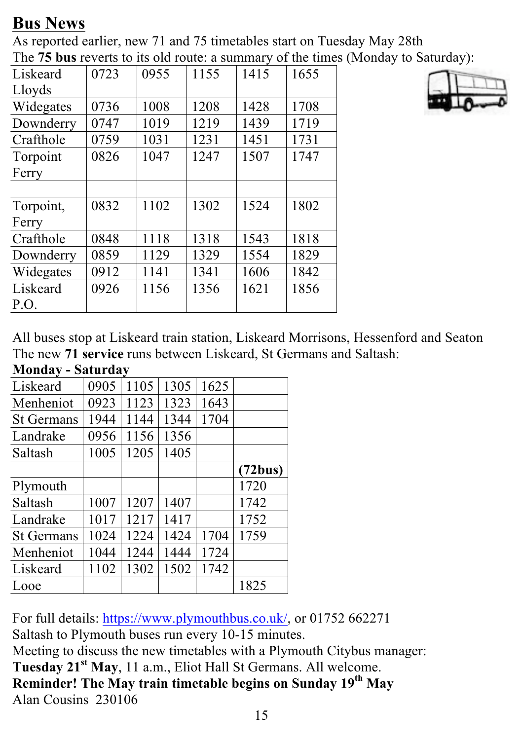# **Bus News**

As reported earlier, new 71 and 75 timetables start on Tuesday May 28th The **75 bus** reverts to its old route: a summary of the times (Monday to Saturday):

| Liskeard  | 0723 | 0955 | 1155 | 1415 | 1655 |
|-----------|------|------|------|------|------|
| Lloyds    |      |      |      |      |      |
| Widegates | 0736 | 1008 | 1208 | 1428 | 1708 |
| Downderry | 0747 | 1019 | 1219 | 1439 | 1719 |
| Crafthole | 0759 | 1031 | 1231 | 1451 | 1731 |
| Torpoint  | 0826 | 1047 | 1247 | 1507 | 1747 |
| Ferry     |      |      |      |      |      |
|           |      |      |      |      |      |
| Torpoint, | 0832 | 1102 | 1302 | 1524 | 1802 |
| Ferry     |      |      |      |      |      |
| Crafthole | 0848 | 1118 | 1318 | 1543 | 1818 |
| Downderry | 0859 | 1129 | 1329 | 1554 | 1829 |
| Widegates | 0912 | 1141 | 1341 | 1606 | 1842 |
| Liskeard  | 0926 | 1156 | 1356 | 1621 | 1856 |
| P.O.      |      |      |      |      |      |



All buses stop at Liskeard train station, Liskeard Morrisons, Hessenford and Seaton The new **71 service** runs between Liskeard, St Germans and Saltash:

| <b>Monday - Saturday</b> |      |      |      |      |         |  |  |
|--------------------------|------|------|------|------|---------|--|--|
| Liskeard                 | 0905 | 1105 | 1305 | 1625 |         |  |  |
| Menheniot                | 0923 | 1123 | 1323 | 1643 |         |  |  |
| <b>St Germans</b>        | 1944 | 1144 | 1344 | 1704 |         |  |  |
| Landrake                 | 0956 | 1156 | 1356 |      |         |  |  |
| Saltash                  | 1005 | 1205 | 1405 |      |         |  |  |
|                          |      |      |      |      | (72bus) |  |  |
| Plymouth                 |      |      |      |      | 1720    |  |  |
| Saltash                  | 1007 | 1207 | 1407 |      | 1742    |  |  |
| Landrake                 | 1017 | 1217 | 1417 |      | 1752    |  |  |
| <b>St Germans</b>        | 1024 | 1224 | 1424 | 1704 | 1759    |  |  |
| Menheniot                | 1044 | 1244 | 1444 | 1724 |         |  |  |
| Liskeard                 | 1102 | 1302 | 1502 | 1742 |         |  |  |
| Looe                     |      |      |      |      | 1825    |  |  |

For full details: https://www.plymouthbus.co.uk/, or 01752 662271 Saltash to Plymouth buses run every 10-15 minutes. Meeting to discuss the new timetables with a Plymouth Citybus manager: **Tuesday 21st May**, 11 a.m., Eliot Hall St Germans. All welcome. **Reminder! The May train timetable begins on Sunday 19th May** Alan Cousins 230106